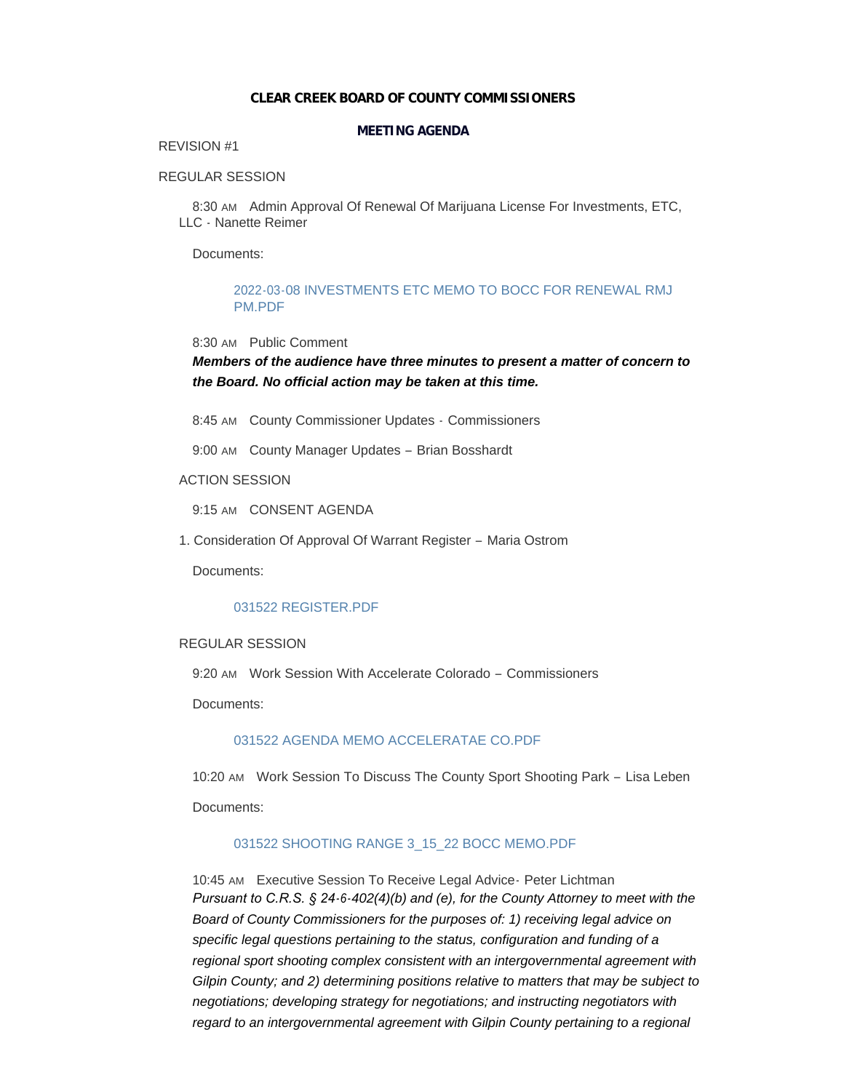#### **CLEAR CREEK BOARD OF COUNTY COMMISSIONERS**

### **MEETING AGENDA**

# REVISION #1

# REGULAR SESSION

8:30 AM Admin Approval Of Renewal Of Marijuana License For Investments, ETC, LLC - Nanette Reimer

Documents:

# [2022-03-08 INVESTMENTS ETC MEMO TO BOCC FOR RENEWAL RMJ](https://www.clearcreekcounty.us/AgendaCenter/ViewFile/Item/6816?fileID=10396)  PM.PDF

#### 8:30 AM Public Comment

*Members of the audience have three minutes to present a matter of concern to the Board. No official action may be taken at this time.*

8:45 AM County Commissioner Updates - Commissioners

9:00 AM County Manager Updates - Brian Bosshardt

#### ACTION SESSION

9:15 AM CONSENT AGENDA

1. Consideration Of Approval Of Warrant Register – Maria Ostrom

Documents:

# [031522 REGISTER.PDF](https://www.clearcreekcounty.us/AgendaCenter/ViewFile/Item/6822?fileID=10397)

#### REGULAR SESSION

9:20 AM Work Session With Accelerate Colorado - Commissioners

Documents:

# [031522 AGENDA MEMO ACCELERATAE CO.PDF](https://www.clearcreekcounty.us/AgendaCenter/ViewFile/Item/6836?fileID=10404)

10:20 AM Work Session To Discuss The County Sport Shooting Park - Lisa Leben Documents:

# [031522 SHOOTING RANGE 3\\_15\\_22 BOCC MEMO.PDF](https://www.clearcreekcounty.us/AgendaCenter/ViewFile/Item/6837?fileID=10405)

10:45 AM Executive Session To Receive Legal Advice - Peter Lichtman *Pursuant to C.R.S. § 24-6-402(4)(b) and (e), for the County Attorney to meet with the Board of County Commissioners for the purposes of: 1) receiving legal advice on specific legal questions pertaining to the status, configuration and funding of a regional sport shooting complex consistent with an intergovernmental agreement with Gilpin County; and 2) determining positions relative to matters that may be subject to negotiations; developing strategy for negotiations; and instructing negotiators with*  regard to an intergovernmental agreement with Gilpin County pertaining to a regional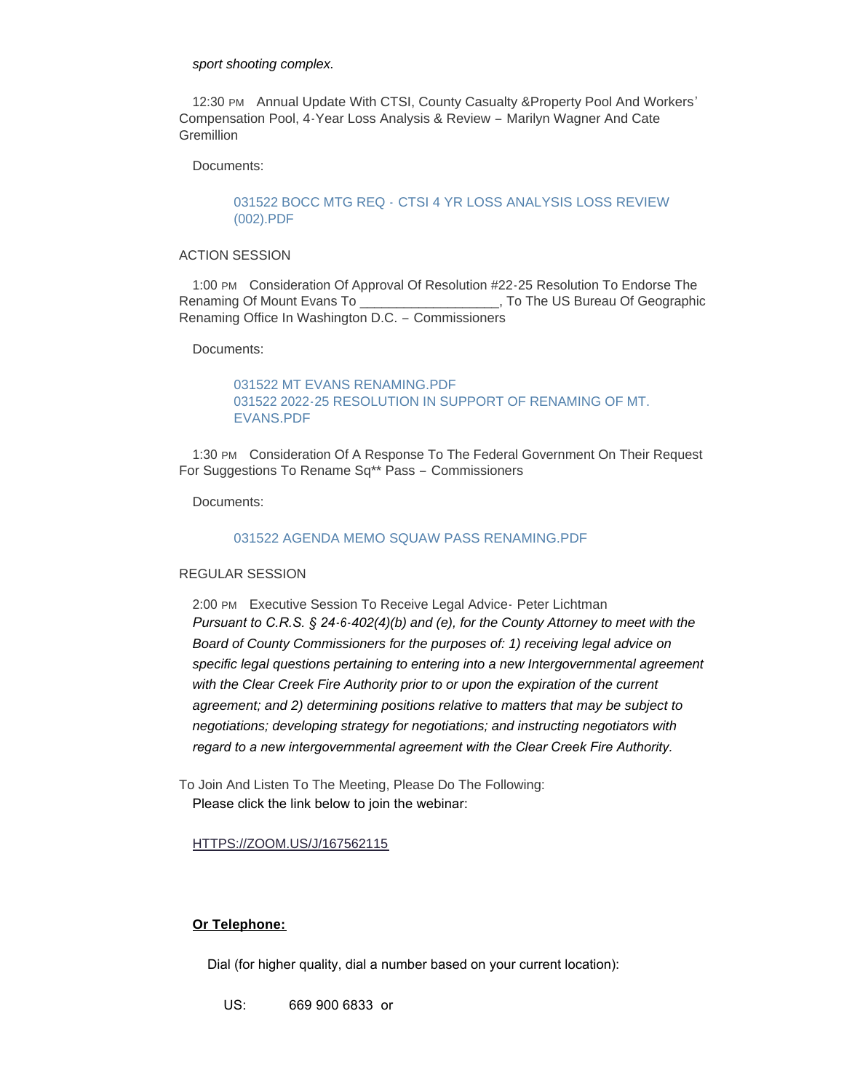#### *sport shooting complex.*

12:30 PM Annual Update With CTSI, County Casualty & Property Pool And Workers' Compensation Pool, 4-Year Loss Analysis & Review – Marilyn Wagner And Cate **Gremillion** 

Documents:

# 031522 BOCC MTG REQ - [CTSI 4 YR LOSS ANALYSIS LOSS REVIEW](https://www.clearcreekcounty.us/AgendaCenter/ViewFile/Item/6835?fileID=10402)  (002).PDF

#### ACTION SESSION

1:00 PM Consideration Of Approval Of Resolution #22-25 Resolution To Endorse The Renaming Of Mount Evans To **Example 20** To The US Bureau Of Geographic Renaming Office In Washington D.C. – Commissioners

Documents:

# [031522 MT EVANS RENAMING.PDF](https://www.clearcreekcounty.us/AgendaCenter/ViewFile/Item/6841?fileID=10409) [031522 2022-25 RESOLUTION IN SUPPORT OF RENAMING OF MT.](https://www.clearcreekcounty.us/AgendaCenter/ViewFile/Item/6841?fileID=10410)  EVANS.PDF

1:30 PM Consideration Of A Response To The Federal Government On Their Request For Suggestions To Rename Sq\*\* Pass – Commissioners

Documents:

#### [031522 AGENDA MEMO SQUAW PASS RENAMING.PDF](https://www.clearcreekcounty.us/AgendaCenter/ViewFile/Item/6839?fileID=10407)

#### REGULAR SESSION

2:00 PM Executive Session To Receive Legal Advice - Peter Lichtman *Pursuant to C.R.S. § 24-6-402(4)(b) and (e), for the County Attorney to meet with the Board of County Commissioners for the purposes of: 1) receiving legal advice on specific legal questions pertaining to entering into a new Intergovernmental agreement*  with the Clear Creek Fire Authority prior to or upon the expiration of the current *agreement; and 2) determining positions relative to matters that may be subject to negotiations; developing strategy for negotiations; and instructing negotiators with regard to a new intergovernmental agreement with the Clear Creek Fire Authority.* 

To Join And Listen To The Meeting, Please Do The Following: Please click the link below to join the webinar:

#### [HTTPS://ZOOM.US/J/167562115](https://zoom.us/j/167562115)

# **Or Telephone:**

Dial (for higher quality, dial a number based on your current location):

US: 669 900 6833 or